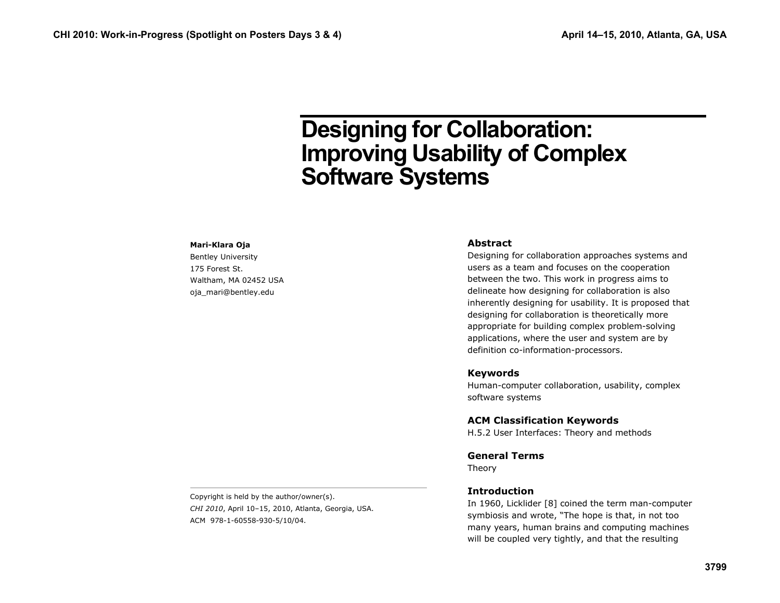# **Designing for Collaboration: Improving Usability of Complex Software Systems**

#### **Mari-Klara Oja**

Bentley University 175 Forest St. Waltham, MA 02452 USA oja\_mari@bentley.edu

#### **Abstract**

Designing for collaboration approaches systems and users as a team and focuses on the cooperation between the two. This work in progress aims to delineate how designing for collaboration is also inherently designing for usability. It is proposed that designing for collaboration is theoretically more appropriate for building complex problem-solving applications, where the user and system are by definition co-information-processors.

#### **Keywords**

Human-computer collaboration, usability, complex software systems

# **ACM Classification Keywords**

H.5.2 User Interfaces: Theory and methods

# **General Terms**

Theory

# **Introduction**

In 1960, Licklider [8] coined the term man-computer symbiosis and wrote, "The hope is that, in not too many years, human brains and computing machines will be coupled very tightly, and that the resulting

Copyright is held by the author/owner(s). *CHI 2010*, April 10-15, 2010, Atlanta, Georgia, USA. ACM 978-1-60558-930-5/10/04.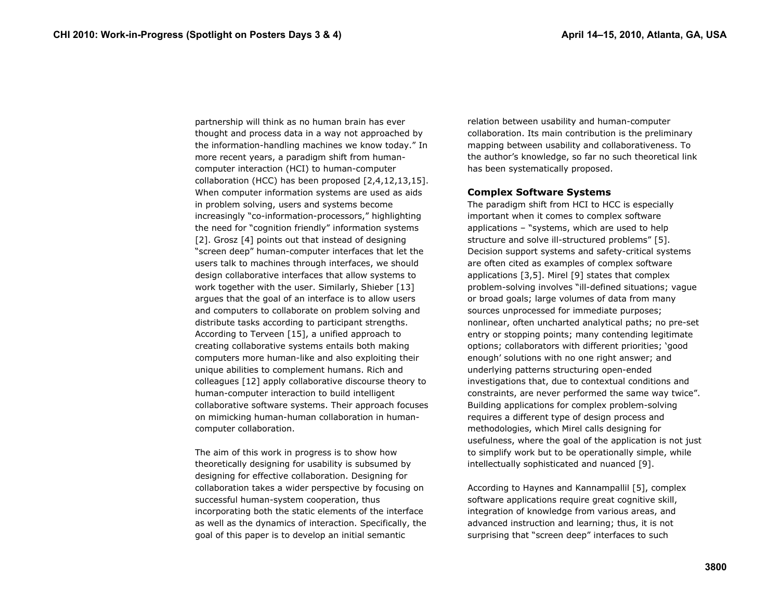partnership will think as no human brain has ever thought and process data in a way not approached by the information-handling machines we know today." In more recent years, a paradigm shift from humancomputer interaction (HCI) to human-computer collaboration (HCC) has been proposed [2,4,12,13,15]. When computer information systems are used as aids in problem solving, users and systems become increasingly "co-information-processors," highlighting the need for "cognition friendly" information systems [2]. Grosz [4] points out that instead of designing "screen deep" human-computer interfaces that let the users talk to machines through interfaces, we should design collaborative interfaces that allow systems to work together with the user. Similarly, Shieber [13] argues that the goal of an interface is to allow users and computers to collaborate on problem solving and distribute tasks according to participant strengths. According to Terveen [15], a unified approach to creating collaborative systems entails both making computers more human-like and also exploiting their unique abilities to complement humans. Rich and colleagues [12] apply collaborative discourse theory to human-computer interaction to build intelligent collaborative software systems. Their approach focuses on mimicking human-human collaboration in humancomputer collaboration.

The aim of this work in progress is to show how theoretically designing for usability is subsumed by designing for effective collaboration. Designing for collaboration takes a wider perspective by focusing on successful human-system cooperation, thus incorporating both the static elements of the interface as well as the dynamics of interaction. Specifically, the goal of this paper is to develop an initial semantic

relation between usability and human-computer collaboration. Its main contribution is the preliminary mapping between usability and collaborativeness. To the author's knowledge, so far no such theoretical link has been systematically proposed.

# **Complex Software Systems**

The paradigm shift from HCI to HCC is especially important when it comes to complex software applications  $-$  "systems, which are used to help structure and solve ill-structured problems" [5]. Decision support systems and safety-critical systems are often cited as examples of complex software applications [3,5]. Mirel [9] states that complex problem-solving involves "ill-defined situations; vague or broad goals; large volumes of data from many sources unprocessed for immediate purposes; nonlinear, often uncharted analytical paths; no pre-set entry or stopping points; many contending legitimate options; collaborators with different priorities; 'good enough' solutions with no one right answer; and underlying patterns structuring open-ended investigations that, due to contextual conditions and constraints, are never performed the same way twice". Building applications for complex problem-solving requires a different type of design process and methodologies, which Mirel calls designing for usefulness, where the goal of the application is not just to simplify work but to be operationally simple, while intellectually sophisticated and nuanced [9].

According to Haynes and Kannampallil [5], complex software applications require great cognitive skill, integration of knowledge from various areas, and advanced instruction and learning; thus, it is not surprising that "screen deep" interfaces to such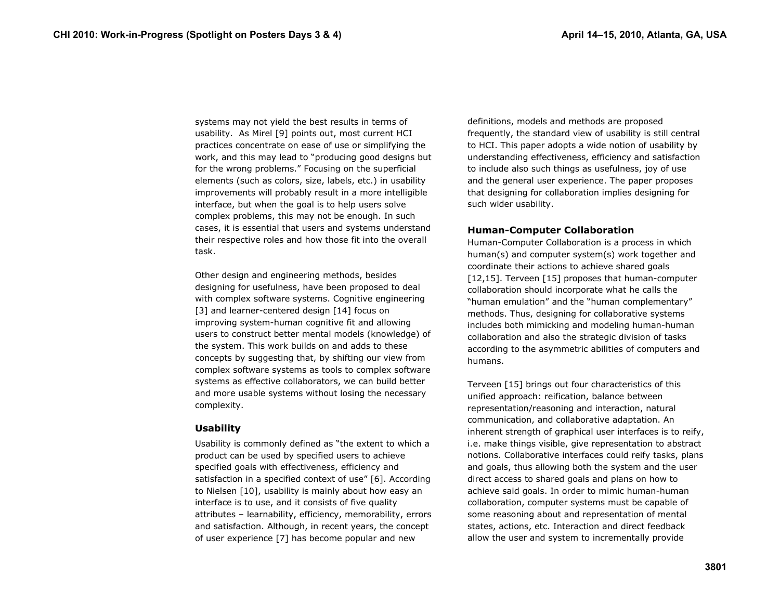systems may not yield the best results in terms of usability. As Mirel [9] points out, most current HCI practices concentrate on ease of use or simplifying the work, and this may lead to "producing good designs but for the wrong problems." Focusing on the superficial elements (such as colors, size, labels, etc.) in usability improvements will probably result in a more intelligible interface, but when the goal is to help users solve complex problems, this may not be enough. In such cases, it is essential that users and systems understand their respective roles and how those fit into the overall task.

Other design and engineering methods, besides designing for usefulness, have been proposed to deal with complex software systems. Cognitive engineering [3] and learner-centered design [14] focus on improving system-human cognitive fit and allowing users to construct better mental models (knowledge) of the system. This work builds on and adds to these concepts by suggesting that, by shifting our view from complex software systems as tools to complex software systems as effective collaborators, we can build better and more usable systems without losing the necessary complexity.

# **Usability**

Usability is commonly defined as "the extent to which a product can be used by specified users to achieve specified goals with effectiveness, efficiency and satisfaction in a specified context of use" [6]. According to Nielsen [10], usability is mainly about how easy an interface is to use, and it consists of five quality attributes - learnability, efficiency, memorability, errors and satisfaction. Although, in recent years, the concept of user experience [7] has become popular and new

definitions, models and methods are proposed frequently, the standard view of usability is still central to HCI. This paper adopts a wide notion of usability by understanding effectiveness, efficiency and satisfaction to include also such things as usefulness, joy of use and the general user experience. The paper proposes that designing for collaboration implies designing for such wider usability.

# **Human-Computer Collaboration**

Human-Computer Collaboration is a process in which human(s) and computer system(s) work together and coordinate their actions to achieve shared goals [12,15]. Terveen [15] proposes that human-computer collaboration should incorporate what he calls the "human emulation" and the "human complementary" methods. Thus, designing for collaborative systems includes both mimicking and modeling human-human collaboration and also the strategic division of tasks according to the asymmetric abilities of computers and humans.

Terveen [15] brings out four characteristics of this unified approach: reification, balance between representation/reasoning and interaction, natural communication, and collaborative adaptation. An inherent strength of graphical user interfaces is to reify, i.e. make things visible, give representation to abstract notions. Collaborative interfaces could reify tasks, plans and goals, thus allowing both the system and the user direct access to shared goals and plans on how to achieve said goals. In order to mimic human-human collaboration, computer systems must be capable of some reasoning about and representation of mental states, actions, etc. Interaction and direct feedback allow the user and system to incrementally provide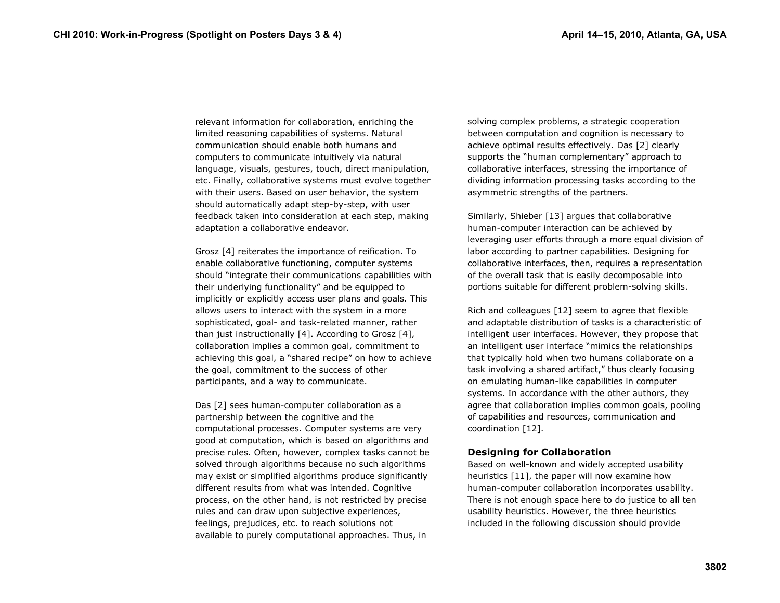relevant information for collaboration, enriching the limited reasoning capabilities of systems. Natural communication should enable both humans and computers to communicate intuitively via natural language, visuals, gestures, touch, direct manipulation, etc. Finally, collaborative systems must evolve together with their users. Based on user behavior, the system should automatically adapt step-by-step, with user feedback taken into consideration at each step, making adaptation a collaborative endeavor.

Grosz [4] reiterates the importance of reification. To enable collaborative functioning, computer systems should "integrate their communications capabilities with their underlying functionality" and be equipped to implicitly or explicitly access user plans and goals. This allows users to interact with the system in a more sophisticated, goal- and task-related manner, rather than just instructionally [4]. According to Grosz [4], collaboration implies a common goal, commitment to achieving this goal, a "shared recipe" on how to achieve the goal, commitment to the success of other participants, and a way to communicate.

Das [2] sees human-computer collaboration as a partnership between the cognitive and the computational processes. Computer systems are very good at computation, which is based on algorithms and precise rules. Often, however, complex tasks cannot be solved through algorithms because no such algorithms may exist or simplified algorithms produce significantly different results from what was intended. Cognitive process, on the other hand, is not restricted by precise rules and can draw upon subjective experiences, feelings, prejudices, etc. to reach solutions not available to purely computational approaches. Thus, in

solving complex problems, a strategic cooperation between computation and cognition is necessary to achieve optimal results effectively. Das [2] clearly supports the "human complementary" approach to collaborative interfaces, stressing the importance of dividing information processing tasks according to the asymmetric strengths of the partners.

Similarly, Shieber [13] argues that collaborative human-computer interaction can be achieved by leveraging user efforts through a more equal division of labor according to partner capabilities. Designing for collaborative interfaces, then, requires a representation of the overall task that is easily decomposable into portions suitable for different problem-solving skills.

Rich and colleagues [12] seem to agree that flexible and adaptable distribution of tasks is a characteristic of intelligent user interfaces. However, they propose that an intelligent user interface "mimics the relationships that typically hold when two humans collaborate on a task involving a shared artifact," thus clearly focusing on emulating human-like capabilities in computer systems. In accordance with the other authors, they agree that collaboration implies common goals, pooling of capabilities and resources, communication and coordination [12].

# **Designing for Collaboration**

Based on well-known and widely accepted usability heuristics [11], the paper will now examine how human-computer collaboration incorporates usability. There is not enough space here to do justice to all ten usability heuristics. However, the three heuristics included in the following discussion should provide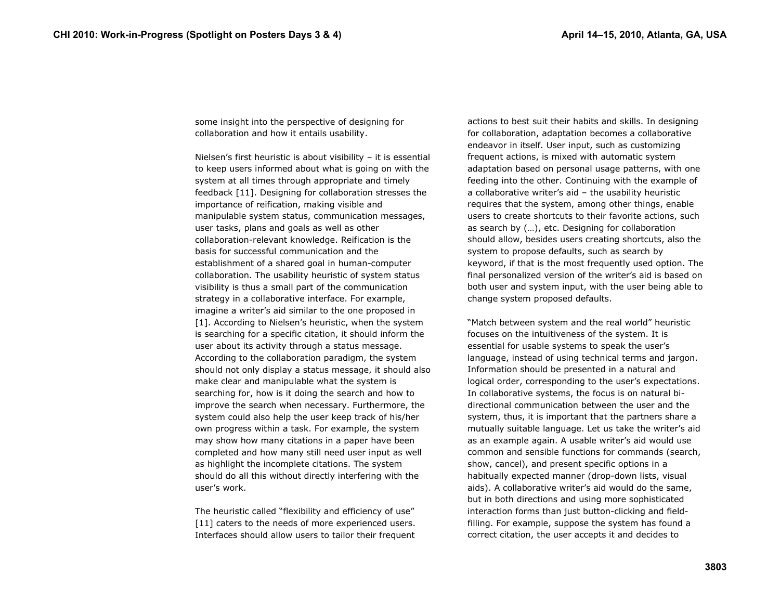some insight into the perspective of designing for collaboration and how it entails usability.

Nielsen's first heuristic is about visibility  $-$  it is essential to keep users informed about what is going on with the system at all times through appropriate and timely feedback [11]. Designing for collaboration stresses the importance of reification, making visible and manipulable system status, communication messages, user tasks, plans and goals as well as other collaboration-relevant knowledge. Reification is the basis for successful communication and the establishment of a shared goal in human-computer collaboration. The usability heuristic of system status visibility is thus a small part of the communication strategy in a collaborative interface. For example, imagine a writer's aid similar to the one proposed in [1]. According to Nielsen's heuristic, when the system is searching for a specific citation, it should inform the user about its activity through a status message. According to the collaboration paradigm, the system should not only display a status message, it should also make clear and manipulable what the system is searching for, how is it doing the search and how to improve the search when necessary. Furthermore, the system could also help the user keep track of his/her own progress within a task. For example, the system may show how many citations in a paper have been completed and how many still need user input as well as highlight the incomplete citations. The system should do all this without directly interfering with the user's work.

The heuristic called "flexibility and efficiency of use" [11] caters to the needs of more experienced users. Interfaces should allow users to tailor their frequent actions to best suit their habits and skills. In designing for collaboration, adaptation becomes a collaborative endeavor in itself. User input, such as customizing frequent actions, is mixed with automatic system adaptation based on personal usage patterns, with one feeding into the other. Continuing with the example of a collaborative writer's aid  $-$  the usability heuristic requires that the system, among other things, enable users to create shortcuts to their favorite actions, such as search by  $(...)$ , etc. Designing for collaboration should allow, besides users creating shortcuts, also the system to propose defaults, such as search by keyword, if that is the most frequently used option. The final personalized version of the writer's aid is based on both user and system input, with the user being able to change system proposed defaults.

"Match between system and the real world" heuristic focuses on the intuitiveness of the system. It is essential for usable systems to speak the user's language, instead of using technical terms and jargon. Information should be presented in a natural and logical order, corresponding to the user's expectations. In collaborative systems, the focus is on natural bidirectional communication between the user and the system, thus, it is important that the partners share a mutually suitable language. Let us take the writer's aid as an example again. A usable writer's aid would use common and sensible functions for commands (search, show, cancel), and present specific options in a habitually expected manner (drop-down lists, visual aids). A collaborative writer's aid would do the same, but in both directions and using more sophisticated interaction forms than just button-clicking and fieldfilling. For example, suppose the system has found a correct citation, the user accepts it and decides to